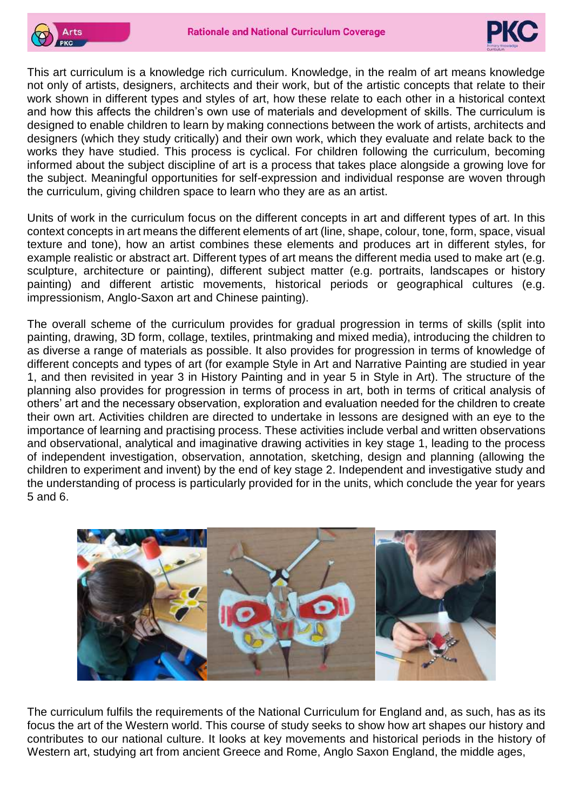



This art curriculum is a knowledge rich curriculum. Knowledge, in the realm of art means knowledge not only of artists, designers, architects and their work, but of the artistic concepts that relate to their work shown in different types and styles of art, how these relate to each other in a historical context and how this affects the children's own use of materials and development of skills. The curriculum is designed to enable children to learn by making connections between the work of artists, architects and designers (which they study critically) and their own work, which they evaluate and relate back to the works they have studied. This process is cyclical. For children following the curriculum, becoming informed about the subject discipline of art is a process that takes place alongside a growing love for the subject. Meaningful opportunities for self-expression and individual response are woven through the curriculum, giving children space to learn who they are as an artist.

Units of work in the curriculum focus on the different concepts in art and different types of art. In this context concepts in art means the different elements of art (line, shape, colour, tone, form, space, visual texture and tone), how an artist combines these elements and produces art in different styles, for example realistic or abstract art. Different types of art means the different media used to make art (e.g. sculpture, architecture or painting), different subject matter (e.g. portraits, landscapes or history painting) and different artistic movements, historical periods or geographical cultures (e.g. impressionism, Anglo-Saxon art and Chinese painting).

The overall scheme of the curriculum provides for gradual progression in terms of skills (split into painting, drawing, 3D form, collage, textiles, printmaking and mixed media), introducing the children to as diverse a range of materials as possible. It also provides for progression in terms of knowledge of different concepts and types of art (for example Style in Art and Narrative Painting are studied in year 1, and then revisited in year 3 in History Painting and in year 5 in Style in Art). The structure of the planning also provides for progression in terms of process in art, both in terms of critical analysis of others' art and the necessary observation, exploration and evaluation needed for the children to create their own art. Activities children are directed to undertake in lessons are designed with an eye to the importance of learning and practising process. These activities include verbal and written observations and observational, analytical and imaginative drawing activities in key stage 1, leading to the process of independent investigation, observation, annotation, sketching, design and planning (allowing the children to experiment and invent) by the end of key stage 2. Independent and investigative study and the understanding of process is particularly provided for in the units, which conclude the year for years 5 and 6.



The curriculum fulfils the requirements of the National Curriculum for England and, as such, has as its focus the art of the Western world. This course of study seeks to show how art shapes our history and contributes to our national culture. It looks at key movements and historical periods in the history of Western art, studving art from ancient Greece and Rome, Anglo Saxon England, the middle ages.